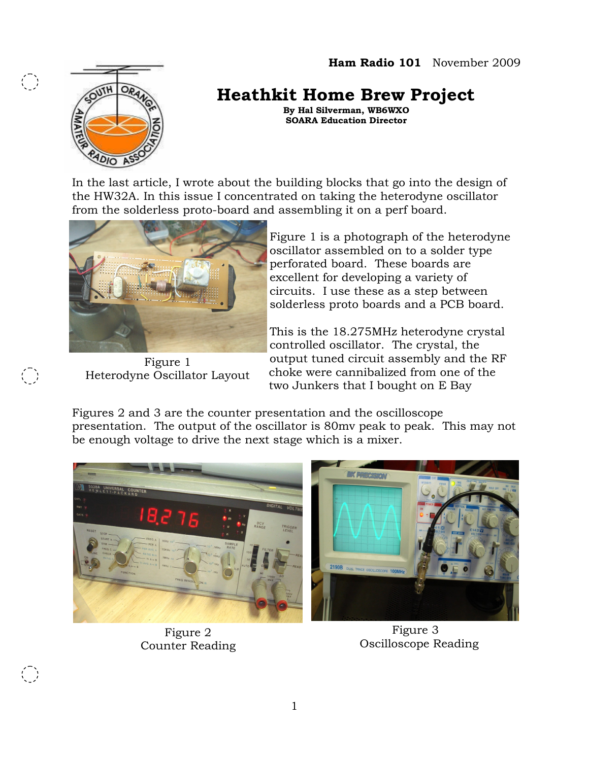

 $\bigodot$ 

 $\left(\begin{array}{c} \cdot \end{array}\right)$ 

 $\bigodot$ 

## **Heathkit Home Brew Project**

**By Hal Silverman, WB6WXO SOARA Education Director**

In the last article, I wrote about the building blocks that go into the design of the HW32A. In this issue I concentrated on taking the heterodyne oscillator from the solderless proto-board and assembling it on a perf board.



Figure 1 Heterodyne Oscillator Layout

Figure 1 is a photograph of the heterodyne oscillator assembled on to a solder type perforated board. These boards are excellent for developing a variety of circuits. I use these as a step between solderless proto boards and a PCB board.

This is the 18.275MHz heterodyne crystal controlled oscillator. The crystal, the output tuned circuit assembly and the RF choke were cannibalized from one of the two Junkers that I bought on E Bay

Figures 2 and 3 are the counter presentation and the oscilloscope presentation. The output of the oscillator is 80mv peak to peak. This may not be enough voltage to drive the next stage which is a mixer.



Figure 2 Counter Reading

Figure 3 Oscilloscope Reading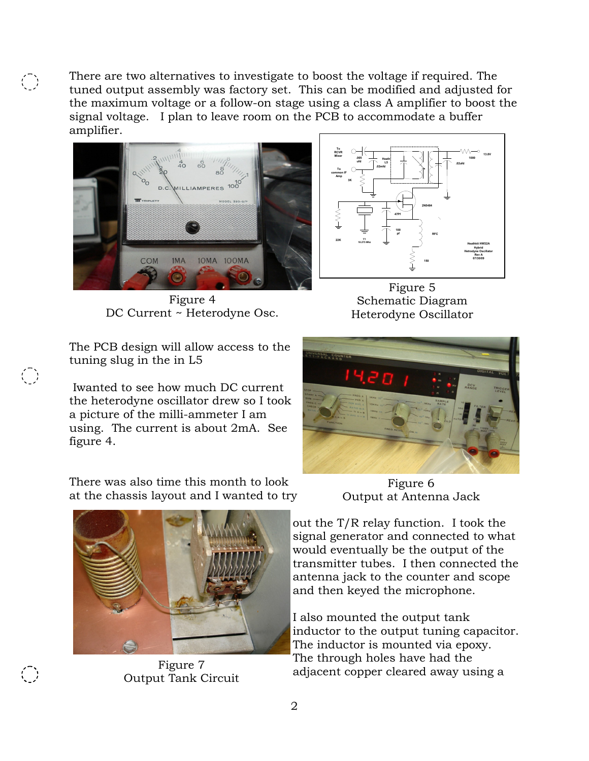There are two alternatives to investigate to boost the voltage if required. The tuned output assembly was factory set. This can be modified and adjusted for the maximum voltage or a follow-on stage using a class A amplifier to boost the signal voltage. I plan to leave room on the PCB to accommodate a buffer amplifier.



 $\bigodot$ 

 $\bigodot$ 

Figure 4 DC Current ~ Heterodyne Osc.



Figure 5 Schematic Diagram Heterodyne Oscillator

The PCB design will allow access to the tuning slug in the in L5

Iwanted to see how much DC current the heterodyne oscillator drew so I took a picture of the milli-ammeter I am using. The current is about 2mA. See figure 4.

There was also time this month to look at the chassis layout and I wanted to try



Figure 7 Output Tank Circuit

Figure 6 Output at Antenna Jack

out the T/R relay function. I took the signal generator and connected to what would eventually be the output of the transmitter tubes. I then connected the antenna jack to the counter and scope and then keyed the microphone.

I also mounted the output tank inductor to the output tuning capacitor. The inductor is mounted via epoxy. The through holes have had the adjacent copper cleared away using a